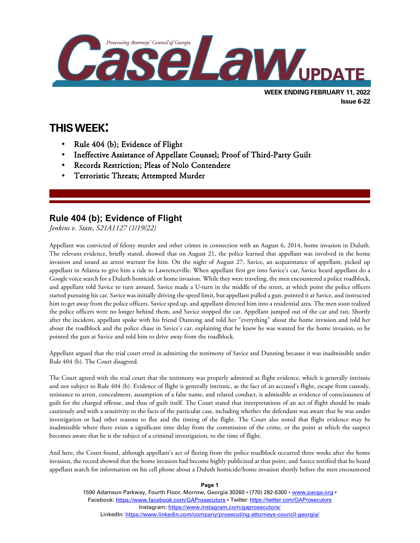

# **THIS WEEK:**

l

- Rule 404 (b); Evidence of Flight
- Ineffective Assistance of Appellate Counsel; Proof of Third-Party Guilt
- Records Restriction; Pleas of Nolo Contendere
- Terroristic Threats; Attempted Murder

## **Rule 404 (b); Evidence of Flight**

*Jenkins v. State, S21A1127 (1/19/22)*

Appellant was convicted of felony murder and other crimes in connection with an August 6, 2014, home invasion in Duluth. The relevant evidence, briefly stated, showed that on August 21, the police learned that appellant was involved in the home invasion and issued an arrest warrant for him. On the night of August 27, Savice, an acquaintance of appellant, picked up appellant in Atlanta to give him a ride to Lawrenceville. When appellant first got into Savice's car, Savice heard appellant do a Google voice search for a Duluth homicide or home invasion. While they were traveling, the men encountered a police roadblock, and appellant told Savice to turn around. Savice made a U-turn in the middle of the street, at which point the police officers started pursuing his car. Savice was initially driving the speed limit, but appellant pulled a gun, pointed it at Savice, and instructed him to get away from the police officers. Savice sped up, and appellant directed him into a residential area. The men soon realized the police officers were no longer behind them, and Savice stopped the car. Appellant jumped out of the car and ran. Shortly after the incident, appellant spoke with his friend Dunning and told her "everything" about the home invasion and told her about the roadblock and the police chase in Savice's car, explaining that he knew he was wanted for the home invasion, so he pointed the gun at Savice and told him to drive away from the roadblock.

Appellant argued that the trial court erred in admitting the testimony of Savice and Dunning because it was inadmissible under Rule 404 (b). The Court disagreed.

The Court agreed with the trial court that the testimony was properly admitted as flight evidence, which is generally intrinsic and not subject to Rule 404 (b). Evidence of flight is generally intrinsic, as the fact of an accused's flight, escape from custody, resistance to arrest, concealment, assumption of a false name, and related conduct, is admissible as evidence of consciousness of guilt for the charged offense, and thus of guilt itself. The Court stated that interpretations of an act of flight should be made cautiously and with a sensitivity to the facts of the particular case, including whether the defendant was aware that he was under investigation or had other reasons to flee and the timing of the flight. The Court also noted that flight evidence may be inadmissible where there exists a significant time delay from the commission of the crime, or the point at which the suspect becomes aware that he is the subject of a criminal investigation, to the time of flight.

And here, the Court found, although appellant's act of fleeing from the police roadblock occurred three weeks after the home invasion, the record showed that the home invasion had become highly publicized at that point, and Savice testified that he heard appellant search for information on his cell phone about a Duluth homicide/home invasion shortly before the men encountered

**Page 1**

1590 Adamson Parkway, Fourth Floor, Morrow, Georgia 30260 · (770) 282-6300 · [www.pacga.org](http://www.pacga.org/) · Facebook:<https://www.facebook.com/GAProsecutors> . Twitter[: https://twitter.com/GAProsecutors](https://twitter.com/GAProsecutors) Instagram[: https://www.instagram.com/gaprosecutors/](https://www.instagram.com/gaprosecutors/) LinkedIn:<https://www.linkedin.com/company/prosecuting-attorneys-council-georgia/>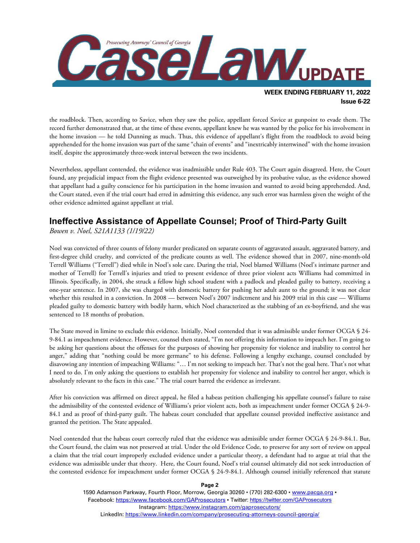

**WEEK ENDING FEBRUARY 11, 2022 Issue 6-22**

the roadblock. Then, according to Savice, when they saw the police, appellant forced Savice at gunpoint to evade them. The record further demonstrated that, at the time of these events, appellant knew he was wanted by the police for his involvement in the home invasion — he told Dunning as much. Thus, this evidence of appellant's flight from the roadblock to avoid being apprehended for the home invasion was part of the same "chain of events" and "inextricably intertwined" with the home invasion itself, despite the approximately three-week interval between the two incidents.

Nevertheless, appellant contended, the evidence was inadmissible under Rule 403. The Court again disagreed. Here, the Court found, any prejudicial impact from the flight evidence presented was outweighed by its probative value, as the evidence showed that appellant had a guilty conscience for his participation in the home invasion and wanted to avoid being apprehended. And, the Court stated, even if the trial court had erred in admitting this evidence, any such error was harmless given the weight of the other evidence admitted against appellant at trial.

## **Ineffective Assistance of Appellate Counsel; Proof of Third-Party Guilt**

*Bowen v. Noel, S21A1133 (1/19/22)*

Noel was convicted of three counts of felony murder predicated on separate counts of aggravated assault, aggravated battery, and first-degree child cruelty, and convicted of the predicate counts as well. The evidence showed that in 2007, nine-month-old Terrell Williams ("Terrell") died while in Noel's sole care. During the trial, Noel blamed Williams (Noel's intimate partner and mother of Terrell) for Terrell's injuries and tried to present evidence of three prior violent acts Williams had committed in Illinois. Specifically, in 2004, she struck a fellow high school student with a padlock and pleaded guilty to battery, receiving a one-year sentence. In 2007, she was charged with domestic battery for pushing her adult aunt to the ground; it was not clear whether this resulted in a conviction. In 2008 — between Noel's 2007 indictment and his 2009 trial in this case — Williams pleaded guilty to domestic battery with bodily harm, which Noel characterized as the stabbing of an ex-boyfriend, and she was sentenced to 18 months of probation.

The State moved in limine to exclude this evidence. Initially, Noel contended that it was admissible under former OCGA § 24- 9-84.1 as impeachment evidence. However, counsel then stated, "I'm not offering this information to impeach her. I'm going to be asking her questions about the offenses for the purposes of showing her propensity for violence and inability to control her anger," adding that "nothing could be more germane" to his defense. Following a lengthy exchange, counsel concluded by disavowing any intention of impeaching Williams: "… I'm not seeking to impeach her. That's not the goal here. That's not what I need to do. I'm only asking the questions to establish her propensity for violence and inability to control her anger, which is absolutely relevant to the facts in this case." The trial court barred the evidence as irrelevant.

After his conviction was affirmed on direct appeal, he filed a habeas petition challenging his appellate counsel's failure to raise the admissibility of the contested evidence of Williams's prior violent acts, both as impeachment under former OCGA § 24-9- 84.1 and as proof of third-party guilt. The habeas court concluded that appellate counsel provided ineffective assistance and granted the petition. The State appealed.

Noel contended that the habeas court correctly ruled that the evidence was admissible under former OCGA § 24-9-84.1. But, the Court found, the claim was not preserved at trial. Under the old Evidence Code, to preserve for any sort of review on appeal a claim that the trial court improperly excluded evidence under a particular theory, a defendant had to argue at trial that the evidence was admissible under that theory. Here, the Court found, Noel's trial counsel ultimately did not seek introduction of the contested evidence for impeachment under former OCGA § 24-9-84.1. Although counsel initially referenced that statute

**Page 2**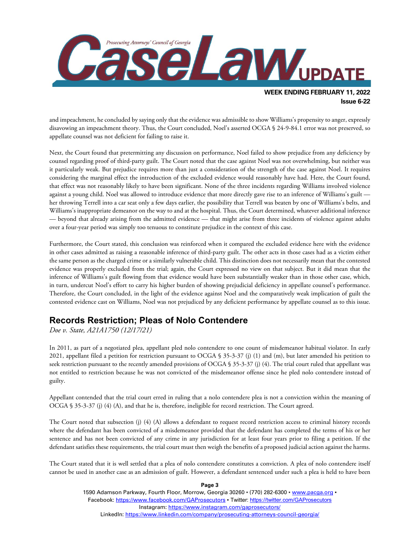

and impeachment, he concluded by saying only that the evidence was admissible to show Williams's propensity to anger, expressly disavowing an impeachment theory. Thus, the Court concluded, Noel's asserted OCGA § 24-9-84.1 error was not preserved, so appellate counsel was not deficient for failing to raise it.

Next, the Court found that pretermitting any discussion on performance, Noel failed to show prejudice from any deficiency by counsel regarding proof of third-party guilt. The Court noted that the case against Noel was not overwhelming, but neither was it particularly weak. But prejudice requires more than just a consideration of the strength of the case against Noel. It requires considering the marginal effect the introduction of the excluded evidence would reasonably have had. Here, the Court found, that effect was not reasonably likely to have been significant. None of the three incidents regarding Williams involved violence against a young child. Noel was allowed to introduce evidence that more directly gave rise to an inference of Williams's guilt her throwing Terrell into a car seat only a few days earlier, the possibility that Terrell was beaten by one of Williams's belts, and Williams's inappropriate demeanor on the way to and at the hospital. Thus, the Court determined, whatever additional inference — beyond that already arising from the admitted evidence — that might arise from three incidents of violence against adults over a four-year period was simply too tenuous to constitute prejudice in the context of this case.

Furthermore, the Court stated, this conclusion was reinforced when it compared the excluded evidence here with the evidence in other cases admitted as raising a reasonable inference of third-party guilt. The other acts in those cases had as a victim either the same person as the charged crime or a similarly vulnerable child. This distinction does not necessarily mean that the contested evidence was properly excluded from the trial; again, the Court expressed no view on that subject. But it did mean that the inference of Williams's guilt flowing from that evidence would have been substantially weaker than in those other case, which, in turn, undercut Noel's effort to carry his higher burden of showing prejudicial deficiency in appellate counsel's performance. Therefore, the Court concluded, in the light of the evidence against Noel and the comparatively weak implication of guilt the contested evidence cast on Williams, Noel was not prejudiced by any deficient performance by appellate counsel as to this issue.

### **Records Restriction; Pleas of Nolo Contendere**

*Doe v. State, A21A1750 (12/17/21)*

In 2011, as part of a negotiated plea, appellant pled nolo contendere to one count of misdemeanor habitual violator. In early 2021, appellant filed a petition for restriction pursuant to OCGA § 35-3-37 (j) (1) and (m), but later amended his petition to seek restriction pursuant to the recently amended provisions of OCGA § 35-3-37 (j) (4). The trial court ruled that appellant was not entitled to restriction because he was not convicted of the misdemeanor offense since he pled nolo contendere instead of guilty.

Appellant contended that the trial court erred in ruling that a nolo contendere plea is not a conviction within the meaning of OCGA § 35-3-37 (j) (4) (A), and that he is, therefore, ineligible for record restriction. The Court agreed.

The Court noted that subsection (j) (4) (A) allows a defendant to request record restriction access to criminal history records where the defendant has been convicted of a misdemeanor provided that the defendant has completed the terms of his or her sentence and has not been convicted of any crime in any jurisdiction for at least four years prior to filing a petition. If the defendant satisfies these requirements, the trial court must then weigh the benefits of a proposed judicial action against the harms.

The Court stated that it is well settled that a plea of nolo contendere constitutes a conviction. A plea of nolo contendere itself cannot be used in another case as an admission of guilt. However, a defendant sentenced under such a plea is held to have been

> 1590 Adamson Parkway, Fourth Floor, Morrow, Georgia 30260 · (770) 282-6300 · [www.pacga.org](http://www.pacga.org/) · Facebook:<https://www.facebook.com/GAProsecutors> . Twitter[: https://twitter.com/GAProsecutors](https://twitter.com/GAProsecutors) Instagram[: https://www.instagram.com/gaprosecutors/](https://www.instagram.com/gaprosecutors/) LinkedIn:<https://www.linkedin.com/company/prosecuting-attorneys-council-georgia/>

**Page 3**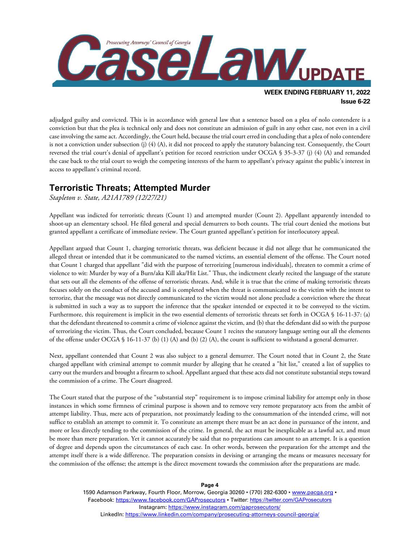

adjudged guilty and convicted. This is in accordance with general law that a sentence based on a plea of nolo contendere is a conviction but that the plea is technical only and does not constitute an admission of guilt in any other case, not even in a civil case involving the same act. Accordingly, the Court held, because the trial court erred in concluding that a plea of nolo contendere is not a conviction under subsection (j) (4) (A), it did not proceed to apply the statutory balancing test. Consequently, the Court reversed the trial court's denial of appellant's petition for record restriction under OCGA § 35-3-37 (j) (4) (A) and remanded the case back to the trial court to weigh the competing interests of the harm to appellant's privacy against the public's interest in access to appellant's criminal record.

#### **Terroristic Threats; Attempted Murder**

*Stapleton v. State, A21A1789 (12/27/21)*

Appellant was indicted for terroristic threats (Count 1) and attempted murder (Count 2). Appellant apparently intended to shoot-up an elementary school. He filed general and special demurrers to both counts. The trial court denied the motions but granted appellant a certificate of immediate review. The Court granted appellant's petition for interlocutory appeal.

Appellant argued that Count 1, charging terroristic threats, was deficient because it did not allege that he communicated the alleged threat or intended that it be communicated to the named victims, an essential element of the offense. The Court noted that Count 1 charged that appellant "did with the purpose of terrorizing [numerous individuals], threaten to commit a crime of violence to wit: Murder by way of a Burn/aka Kill aka/Hit List." Thus, the indictment clearly recited the language of the statute that sets out all the elements of the offense of terroristic threats. And, while it is true that the crime of making terroristic threats focuses solely on the conduct of the accused and is completed when the threat is communicated to the victim with the intent to terrorize, that the message was not directly communicated to the victim would not alone preclude a conviction where the threat is submitted in such a way as to support the inference that the speaker intended or expected it to be conveyed to the victim. Furthermore, this requirement is implicit in the two essential elements of terroristic threats set forth in OCGA § 16-11-37: (a) that the defendant threatened to commit a crime of violence against the victim, and (b) that the defendant did so with the purpose of terrorizing the victim. Thus, the Court concluded, because Count 1 recites the statutory language setting out all the elements of the offense under OCGA § 16-11-37 (b) (1) (A) and (b) (2) (A), the count is sufficient to withstand a general demurrer.

Next, appellant contended that Count 2 was also subject to a general demurrer. The Court noted that in Count 2, the State charged appellant with criminal attempt to commit murder by alleging that he created a "hit list," created a list of supplies to carry out the murders and brought a firearm to school. Appellant argued that these acts did not constitute substantial steps toward the commission of a crime. The Court disagreed.

The Court stated that the purpose of the "substantial step" requirement is to impose criminal liability for attempt only in those instances in which some firmness of criminal purpose is shown and to remove very remote preparatory acts from the ambit of attempt liability. Thus, mere acts of preparation, not proximately leading to the consummation of the intended crime, will not suffice to establish an attempt to commit it. To constitute an attempt there must be an act done in pursuance of the intent, and more or less directly tending to the commission of the crime. In general, the act must be inexplicable as a lawful act, and must be more than mere preparation. Yet it cannot accurately be said that no preparations can amount to an attempt. It is a question of degree and depends upon the circumstances of each case. In other words, between the preparation for the attempt and the attempt itself there is a wide difference. The preparation consists in devising or arranging the means or measures necessary for the commission of the offense; the attempt is the direct movement towards the commission after the preparations are made.

**Page 4**

1590 Adamson Parkway, Fourth Floor, Morrow, Georgia 30260 · (770) 282-6300 · [www.pacga.org](http://www.pacga.org/) · Facebook:<https://www.facebook.com/GAProsecutors> . Twitter[: https://twitter.com/GAProsecutors](https://twitter.com/GAProsecutors) Instagram[: https://www.instagram.com/gaprosecutors/](https://www.instagram.com/gaprosecutors/) LinkedIn:<https://www.linkedin.com/company/prosecuting-attorneys-council-georgia/>